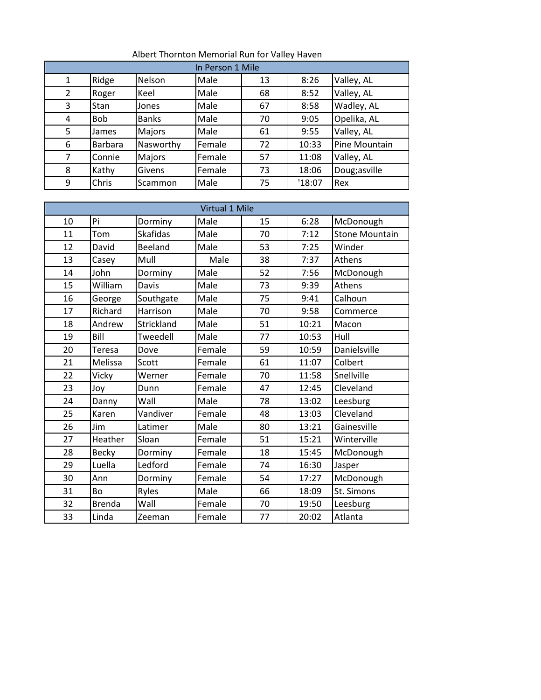| In Person 1 Mile |                |              |        |    |        |               |  |  |
|------------------|----------------|--------------|--------|----|--------|---------------|--|--|
| 1                | Ridge          | Nelson       | Male   | 13 | 8:26   | Valley, AL    |  |  |
| $\overline{2}$   | Roger          | Keel         | Male   | 68 | 8:52   | Valley, AL    |  |  |
| 3                | <b>Stan</b>    | Jones        | Male   | 67 | 8:58   | Wadley, AL    |  |  |
| 4                | <b>Bob</b>     | <b>Banks</b> | Male   | 70 | 9:05   | Opelika, AL   |  |  |
| 5                | James          | Majors       | Male   | 61 | 9:55   | Valley, AL    |  |  |
| 6                | <b>Barbara</b> | Nasworthy    | Female | 72 | 10:33  | Pine Mountain |  |  |
| 7                | Connie         | Majors       | Female | 57 | 11:08  | Valley, AL    |  |  |
| 8                | Kathy          | Givens       | Female | 73 | 18:06  | Doug;asville  |  |  |
| 9                | Chris          | Scammon      | Male   | 75 | '18:07 | Rex           |  |  |

## Albert Thornton Memorial Run for Valley Haven

| <b>Virtual 1 Mile</b> |               |                 |        |    |       |                       |  |  |
|-----------------------|---------------|-----------------|--------|----|-------|-----------------------|--|--|
| 10                    | Pi            | Dorminy         | Male   | 15 | 6:28  | McDonough             |  |  |
| 11                    | Tom           | <b>Skafidas</b> | Male   | 70 | 7:12  | <b>Stone Mountain</b> |  |  |
| 12                    | David         | Beeland         | Male   | 53 | 7:25  | Winder                |  |  |
| 13                    | Casey         | Mull            | Male   | 38 | 7:37  | Athens                |  |  |
| 14                    | John          | Dorminy         | Male   | 52 | 7:56  | McDonough             |  |  |
| 15                    | William       | Davis           | Male   | 73 | 9:39  | Athens                |  |  |
| 16                    | George        | Southgate       | Male   | 75 | 9:41  | Calhoun               |  |  |
| 17                    | Richard       | Harrison        | Male   | 70 | 9:58  | Commerce              |  |  |
| 18                    | Andrew        | Strickland      | Male   | 51 | 10:21 | Macon                 |  |  |
| 19                    | Bill          | Tweedell        | Male   | 77 | 10:53 | Hull                  |  |  |
| 20                    | Teresa        | Dove            | Female | 59 | 10:59 | Danielsville          |  |  |
| 21                    | Melissa       | Scott           | Female | 61 | 11:07 | Colbert               |  |  |
| 22                    | Vicky         | Werner          | Female | 70 | 11:58 | Snellville            |  |  |
| 23                    | Joy           | Dunn            | Female | 47 | 12:45 | Cleveland             |  |  |
| 24                    | Danny         | Wall            | Male   | 78 | 13:02 | Leesburg              |  |  |
| 25                    | Karen         | Vandiver        | Female | 48 | 13:03 | Cleveland             |  |  |
| 26                    | Jim           | Latimer         | Male   | 80 | 13:21 | Gainesville           |  |  |
| 27                    | Heather       | Sloan           | Female | 51 | 15:21 | Winterville           |  |  |
| 28                    | <b>Becky</b>  | Dorminy         | Female | 18 | 15:45 | McDonough             |  |  |
| 29                    | Luella        | Ledford         | Female | 74 | 16:30 | Jasper                |  |  |
| 30                    | Ann           | Dorminy         | Female | 54 | 17:27 | McDonough             |  |  |
| 31                    | Bo            | Ryles           | Male   | 66 | 18:09 | St. Simons            |  |  |
| 32                    | <b>Brenda</b> | Wall            | Female | 70 | 19:50 | Leesburg              |  |  |
| 33                    | Linda         | Zeeman          | Female | 77 | 20:02 | Atlanta               |  |  |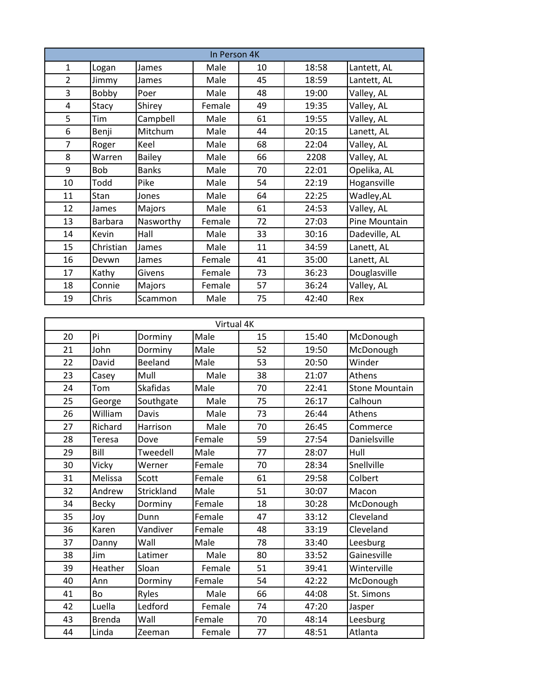| In Person 4K   |                |               |        |    |       |               |  |  |  |
|----------------|----------------|---------------|--------|----|-------|---------------|--|--|--|
| $\mathbf{1}$   | Logan          | James         | Male   | 10 | 18:58 | Lantett, AL   |  |  |  |
| $\overline{2}$ | Jimmy          | James         | Male   | 45 | 18:59 | Lantett, AL   |  |  |  |
| 3              | Bobby          | Poer          | Male   | 48 | 19:00 | Valley, AL    |  |  |  |
| 4              | Stacy          | Shirey        | Female | 49 | 19:35 | Valley, AL    |  |  |  |
| 5              | Tim            | Campbell      | Male   | 61 | 19:55 | Valley, AL    |  |  |  |
| 6              | Benji          | Mitchum       | Male   | 44 | 20:15 | Lanett, AL    |  |  |  |
| $\overline{7}$ | Roger          | Keel          | Male   | 68 | 22:04 | Valley, AL    |  |  |  |
| 8              | Warren         | <b>Bailey</b> | Male   | 66 | 2208  | Valley, AL    |  |  |  |
| 9              | Bob            | <b>Banks</b>  | Male   | 70 | 22:01 | Opelika, AL   |  |  |  |
| 10             | Todd           | Pike          | Male   | 54 | 22:19 | Hogansville   |  |  |  |
| 11             | Stan           | Jones         | Male   | 64 | 22:25 | Wadley, AL    |  |  |  |
| 12             | James          | Majors        | Male   | 61 | 24:53 | Valley, AL    |  |  |  |
| 13             | <b>Barbara</b> | Nasworthy     | Female | 72 | 27:03 | Pine Mountain |  |  |  |
| 14             | Kevin          | Hall          | Male   | 33 | 30:16 | Dadeville, AL |  |  |  |
| 15             | Christian      | James         | Male   | 11 | 34:59 | Lanett, AL    |  |  |  |
| 16             | Devwn          | James         | Female | 41 | 35:00 | Lanett, AL    |  |  |  |
| 17             | Kathy          | Givens        | Female | 73 | 36:23 | Douglasville  |  |  |  |
| 18             | Connie         | Majors        | Female | 57 | 36:24 | Valley, AL    |  |  |  |
| 19             | Chris          | Scammon       | Male   | 75 | 42:40 | Rex           |  |  |  |

| Virtual 4K |               |                 |        |    |       |                       |  |  |  |
|------------|---------------|-----------------|--------|----|-------|-----------------------|--|--|--|
| 20         | Pi            | Dorminy         | Male   | 15 | 15:40 | McDonough             |  |  |  |
| 21         | John          | Dorminy         | Male   | 52 | 19:50 | McDonough             |  |  |  |
| 22         | David         | Beeland         | Male   | 53 | 20:50 | Winder                |  |  |  |
| 23         | Casey         | Mull            | Male   | 38 | 21:07 | Athens                |  |  |  |
| 24         | Tom           | <b>Skafidas</b> | Male   | 70 | 22:41 | <b>Stone Mountain</b> |  |  |  |
| 25         | George        | Southgate       | Male   | 75 | 26:17 | Calhoun               |  |  |  |
| 26         | William       | Davis           | Male   | 73 | 26:44 | Athens                |  |  |  |
| 27         | Richard       | Harrison        | Male   | 70 | 26:45 | Commerce              |  |  |  |
| 28         | <b>Teresa</b> | Dove            | Female | 59 | 27:54 | Danielsville          |  |  |  |
| 29         | Bill          | Tweedell        | Male   | 77 | 28:07 | Hull                  |  |  |  |
| 30         | Vicky         | Werner          | Female | 70 | 28:34 | Snellville            |  |  |  |
| 31         | Melissa       | Scott           | Female | 61 | 29:58 | Colbert               |  |  |  |
| 32         | Andrew        | Strickland      | Male   | 51 | 30:07 | Macon                 |  |  |  |
| 34         | Becky         | Dorminy         | Female | 18 | 30:28 | McDonough             |  |  |  |
| 35         | Joy           | Dunn            | Female | 47 | 33:12 | Cleveland             |  |  |  |
| 36         | Karen         | Vandiver        | Female | 48 | 33:19 | Cleveland             |  |  |  |
| 37         | Danny         | Wall            | Male   | 78 | 33:40 | Leesburg              |  |  |  |
| 38         | Jim           | Latimer         | Male   | 80 | 33:52 | Gainesville           |  |  |  |
| 39         | Heather       | Sloan           | Female | 51 | 39:41 | Winterville           |  |  |  |
| 40         | Ann           | Dorminy         | Female | 54 | 42:22 | McDonough             |  |  |  |
| 41         | <b>Bo</b>     | Ryles           | Male   | 66 | 44:08 | St. Simons            |  |  |  |
| 42         | Luella        | Ledford         | Female | 74 | 47:20 | Jasper                |  |  |  |
| 43         | <b>Brenda</b> | Wall            | Female | 70 | 48:14 | Leesburg              |  |  |  |
| 44         | Linda         | Zeeman          | Female | 77 | 48:51 | Atlanta               |  |  |  |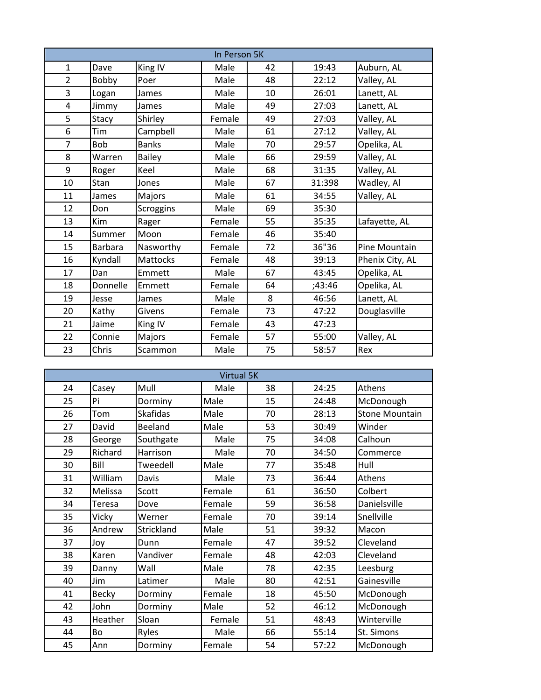| In Person 5K   |                |                 |        |    |        |                 |  |  |
|----------------|----------------|-----------------|--------|----|--------|-----------------|--|--|
| $\mathbf{1}$   | Dave           | King IV         | Male   | 42 | 19:43  | Auburn, AL      |  |  |
| $\overline{2}$ | Bobby          | Poer            | Male   | 48 | 22:12  | Valley, AL      |  |  |
| 3              | Logan          | James           | Male   | 10 | 26:01  | Lanett, AL      |  |  |
| 4              | Jimmy          | James           | Male   | 49 | 27:03  | Lanett, AL      |  |  |
| 5              | Stacy          | Shirley         | Female | 49 | 27:03  | Valley, AL      |  |  |
| 6              | <b>Tim</b>     | Campbell        | Male   | 61 | 27:12  | Valley, AL      |  |  |
| $\overline{7}$ | <b>Bob</b>     | <b>Banks</b>    | Male   | 70 | 29:57  | Opelika, AL     |  |  |
| 8              | Warren         | <b>Bailey</b>   | Male   | 66 | 29:59  | Valley, AL      |  |  |
| 9              | Roger          | Keel            | Male   | 68 | 31:35  | Valley, AL      |  |  |
| 10             | Stan           | Jones           | Male   | 67 | 31:398 | Wadley, Al      |  |  |
| 11             | James          | Majors          | Male   | 61 | 34:55  | Valley, AL      |  |  |
| 12             | Don            | Scroggins       | Male   | 69 | 35:30  |                 |  |  |
| 13             | Kim            | Rager           | Female | 55 | 35:35  | Lafayette, AL   |  |  |
| 14             | Summer         | Moon            | Female | 46 | 35:40  |                 |  |  |
| 15             | <b>Barbara</b> | Nasworthy       | Female | 72 | 36"36  | Pine Mountain   |  |  |
| 16             | Kyndall        | <b>Mattocks</b> | Female | 48 | 39:13  | Phenix City, AL |  |  |
| 17             | Dan            | Emmett          | Male   | 67 | 43:45  | Opelika, AL     |  |  |
| 18             | Donnelle       | Emmett          | Female | 64 | ;43:46 | Opelika, AL     |  |  |
| 19             | Jesse          | James           | Male   | 8  | 46:56  | Lanett, AL      |  |  |
| 20             | Kathy          | Givens          | Female | 73 | 47:22  | Douglasville    |  |  |
| 21             | Jaime          | King IV         | Female | 43 | 47:23  |                 |  |  |
| 22             | Connie         | Majors          | Female | 57 | 55:00  | Valley, AL      |  |  |
| 23             | Chris          | Scammon         | Male   | 75 | 58:57  | Rex             |  |  |

| <b>Virtual 5K</b> |              |                 |        |    |       |                       |  |  |  |
|-------------------|--------------|-----------------|--------|----|-------|-----------------------|--|--|--|
| 24                | Casey        | Mull            | Male   | 38 | 24:25 | Athens                |  |  |  |
| 25                | Pi           | Dorminy         | Male   | 15 | 24:48 | McDonough             |  |  |  |
| 26                | Tom          | <b>Skafidas</b> | Male   | 70 | 28:13 | <b>Stone Mountain</b> |  |  |  |
| 27                | David        | Beeland         | Male   | 53 | 30:49 | Winder                |  |  |  |
| 28                | George       | Southgate       | Male   | 75 | 34:08 | Calhoun               |  |  |  |
| 29                | Richard      | Harrison        | Male   | 70 | 34:50 | Commerce              |  |  |  |
| 30                | Bill         | Tweedell        | Male   | 77 | 35:48 | Hull                  |  |  |  |
| 31                | William      | Davis           | Male   | 73 | 36:44 | Athens                |  |  |  |
| 32                | Melissa      | Scott           | Female | 61 | 36:50 | Colbert               |  |  |  |
| 34                | Teresa       | Dove            | Female | 59 | 36:58 | Danielsville          |  |  |  |
| 35                | Vicky        | Werner          | Female | 70 | 39:14 | Snellville            |  |  |  |
| 36                | Andrew       | Strickland      | Male   | 51 | 39:32 | Macon                 |  |  |  |
| 37                | Joy          | Dunn            | Female | 47 | 39:52 | Cleveland             |  |  |  |
| 38                | Karen        | Vandiver        | Female | 48 | 42:03 | Cleveland             |  |  |  |
| 39                | Danny        | Wall            | Male   | 78 | 42:35 | Leesburg              |  |  |  |
| 40                | Jim          | Latimer         | Male   | 80 | 42:51 | Gainesville           |  |  |  |
| 41                | <b>Becky</b> | Dorminy         | Female | 18 | 45:50 | McDonough             |  |  |  |
| 42                | John         | Dorminy         | Male   | 52 | 46:12 | McDonough             |  |  |  |
| 43                | Heather      | Sloan           | Female | 51 | 48:43 | Winterville           |  |  |  |
| 44                | Bo           | Ryles           | Male   | 66 | 55:14 | St. Simons            |  |  |  |
| 45                | Ann          | Dorminy         | Female | 54 | 57:22 | McDonough             |  |  |  |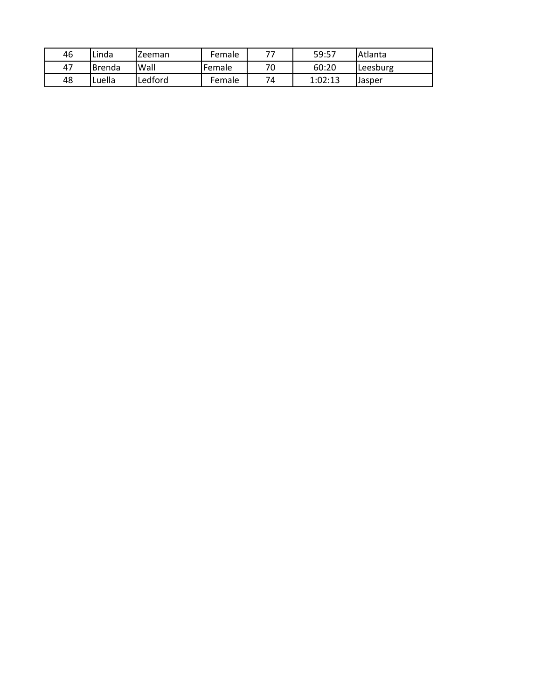| 46 | Linda          | Zeeman  | Female | 77 | 59:57   | Atlanta  |
|----|----------------|---------|--------|----|---------|----------|
| 47 | <b>IBrenda</b> | Wall    | Female | 70 | 60:20   | Leesburg |
| 48 | Luella         | Ledford | Female | 74 | 1:02:13 | Jasper   |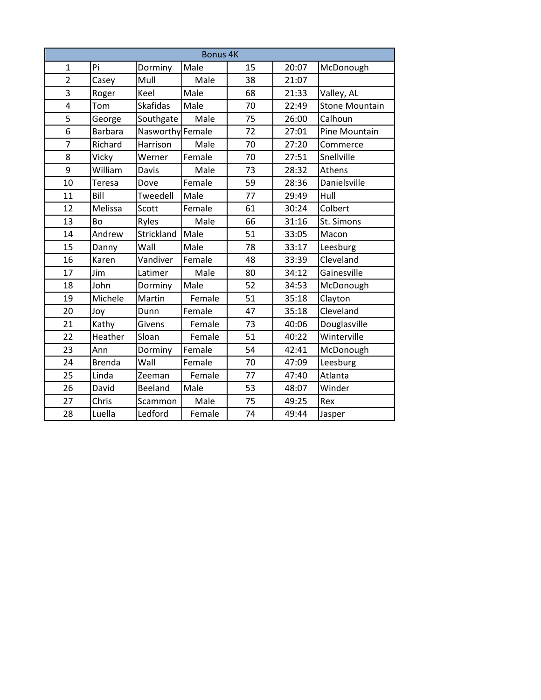| <b>Bonus 4K</b>         |                |                  |        |    |       |                       |  |  |
|-------------------------|----------------|------------------|--------|----|-------|-----------------------|--|--|
| $\mathbf{1}$            | Pi             | Dorminy          | Male   | 15 | 20:07 | McDonough             |  |  |
| $\overline{2}$          | Casey          | Mull             | Male   | 38 | 21:07 |                       |  |  |
| 3                       | Roger          | Keel             | Male   | 68 | 21:33 | Valley, AL            |  |  |
| $\overline{\mathbf{4}}$ | Tom            | <b>Skafidas</b>  | Male   | 70 | 22:49 | <b>Stone Mountain</b> |  |  |
| 5                       | George         | Southgate        | Male   | 75 | 26:00 | Calhoun               |  |  |
| 6                       | <b>Barbara</b> | Nasworthy Female |        | 72 | 27:01 | Pine Mountain         |  |  |
| $\overline{7}$          | Richard        | Harrison         | Male   | 70 | 27:20 | Commerce              |  |  |
| 8                       | Vicky          | Werner           | Female | 70 | 27:51 | Snellville            |  |  |
| 9                       | William        | Davis            | Male   | 73 | 28:32 | Athens                |  |  |
| 10                      | Teresa         | Dove             | Female | 59 | 28:36 | Danielsville          |  |  |
| 11                      | Bill           | Tweedell         | Male   | 77 | 29:49 | Hull                  |  |  |
| 12                      | Melissa        | Scott            | Female | 61 | 30:24 | Colbert               |  |  |
| 13                      | Bo             | Ryles            | Male   | 66 | 31:16 | St. Simons            |  |  |
| 14                      | Andrew         | Strickland       | Male   | 51 | 33:05 | Macon                 |  |  |
| 15                      | Danny          | Wall             | Male   | 78 | 33:17 | Leesburg              |  |  |
| 16                      | Karen          | Vandiver         | Female | 48 | 33:39 | Cleveland             |  |  |
| 17                      | Jim            | Latimer          | Male   | 80 | 34:12 | Gainesville           |  |  |
| 18                      | John           | Dorminy          | Male   | 52 | 34:53 | McDonough             |  |  |
| 19                      | Michele        | Martin           | Female | 51 | 35:18 | Clayton               |  |  |
| 20                      | Joy            | Dunn             | Female | 47 | 35:18 | Cleveland             |  |  |
| 21                      | Kathy          | Givens           | Female | 73 | 40:06 | Douglasville          |  |  |
| 22                      | Heather        | Sloan            | Female | 51 | 40:22 | Winterville           |  |  |
| 23                      | Ann            | Dorminy          | Female | 54 | 42:41 | McDonough             |  |  |
| 24                      | <b>Brenda</b>  | Wall             | Female | 70 | 47:09 | Leesburg              |  |  |
| 25                      | Linda          | Zeeman           | Female | 77 | 47:40 | Atlanta               |  |  |
| 26                      | David          | Beeland          | Male   | 53 | 48:07 | Winder                |  |  |
| 27                      | Chris          | Scammon          | Male   | 75 | 49:25 | Rex                   |  |  |
| 28                      | Luella         | Ledford          | Female | 74 | 49:44 | Jasper                |  |  |